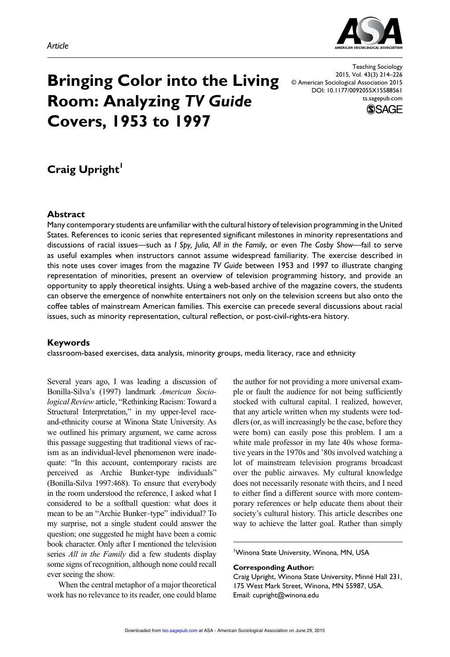

# **Bringing Color into the Living Room: Analyzing** *TV Guide* **Covers, 1953 to 1997**

Teaching Sociology 2015, Vol. 43(3) 214–226 © American Sociological Association 2015 DOI: 10.1177/0092055X15588561 ts.sagepub.com



## **Craig Upright**

#### **Abstract**

Many contemporary students are unfamiliar with the cultural history of television programming in the United States. References to iconic series that represented significant milestones in minority representations and discussions of racial issues—such as *I Spy, Julia, All in the Family*, or even *The Cosby Show*—fail to serve as useful examples when instructors cannot assume widespread familiarity. The exercise described in this note uses cover images from the magazine *TV Guide* between 1953 and 1997 to illustrate changing representation of minorities, present an overview of television programming history, and provide an opportunity to apply theoretical insights. Using a web-based archive of the magazine covers, the students can observe the emergence of nonwhite entertainers not only on the television screens but also onto the coffee tables of mainstream American families. This exercise can precede several discussions about racial issues, such as minority representation, cultural reflection, or post-civil-rights-era history.

#### **Keywords**

classroom-based exercises, data analysis, minority groups, media literacy, race and ethnicity

Several years ago, I was leading a discussion of Bonilla-Silva's (1997) landmark *American Sociological Review* article, "Rethinking Racism: Toward a Structural Interpretation," in my upper-level raceand-ethnicity course at Winona State University. As we outlined his primary argument, we came across this passage suggesting that traditional views of racism as an individual-level phenomenon were inadequate: "In this account, contemporary racists are perceived as Archie Bunker-type individuals" (Bonilla-Silva 1997:468). To ensure that everybody in the room understood the reference, I asked what I considered to be a softball question: what does it mean to be an "Archie Bunker–type" individual? To my surprise, not a single student could answer the question; one suggested he might have been a comic book character. Only after I mentioned the television series *All in the Family* did a few students display some signs of recognition, although none could recall ever seeing the show.

When the central metaphor of a major theoretical work has no relevance to its reader, one could blame the author for not providing a more universal example or fault the audience for not being sufficiently stocked with cultural capital. I realized, however, that any article written when my students were toddlers (or, as will increasingly be the case, before they were born) can easily pose this problem. I am a white male professor in my late 40s whose formative years in the 1970s and '80s involved watching a lot of mainstream television programs broadcast over the public airwaves. My cultural knowledge does not necessarily resonate with theirs, and I need to either find a different source with more contemporary references or help educate them about their society's cultural history. This article describes one way to achieve the latter goal. Rather than simply

1 Winona State University, Winona, MN, USA

#### **Corresponding Author:**

Craig Upright, Winona State University, Minné Hall 231, 175 West Mark Street, Winona, MN 55987, USA. Email: cupright@winona.edu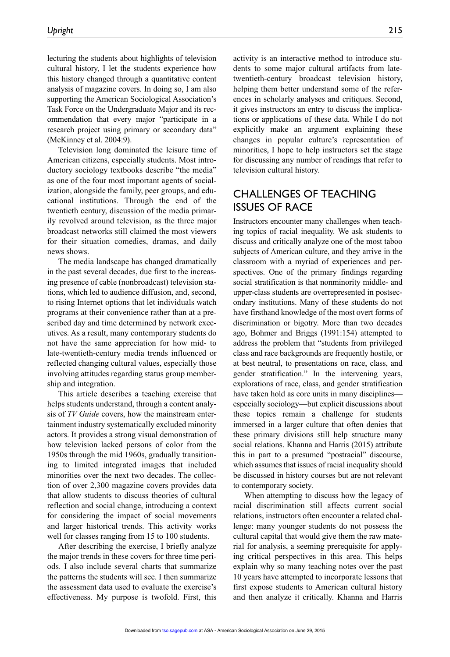lecturing the students about highlights of television cultural history, I let the students experience how this history changed through a quantitative content analysis of magazine covers. In doing so, I am also supporting the American Sociological Association's Task Force on the Undergraduate Major and its recommendation that every major "participate in a research project using primary or secondary data" (McKinney et al. 2004:9).

Television long dominated the leisure time of American citizens, especially students. Most introductory sociology textbooks describe "the media" as one of the four most important agents of socialization, alongside the family, peer groups, and educational institutions. Through the end of the twentieth century, discussion of the media primarily revolved around television, as the three major broadcast networks still claimed the most viewers for their situation comedies, dramas, and daily news shows.

The media landscape has changed dramatically in the past several decades, due first to the increasing presence of cable (nonbroadcast) television stations, which led to audience diffusion, and, second, to rising Internet options that let individuals watch programs at their convenience rather than at a prescribed day and time determined by network executives. As a result, many contemporary students do not have the same appreciation for how mid- to late-twentieth-century media trends influenced or reflected changing cultural values, especially those involving attitudes regarding status group membership and integration.

This article describes a teaching exercise that helps students understand, through a content analysis of *TV Guide* covers, how the mainstream entertainment industry systematically excluded minority actors. It provides a strong visual demonstration of how television lacked persons of color from the 1950s through the mid 1960s, gradually transitioning to limited integrated images that included minorities over the next two decades. The collection of over 2,300 magazine covers provides data that allow students to discuss theories of cultural reflection and social change, introducing a context for considering the impact of social movements and larger historical trends. This activity works well for classes ranging from 15 to 100 students.

After describing the exercise, I briefly analyze the major trends in these covers for three time periods. I also include several charts that summarize the patterns the students will see. I then summarize the assessment data used to evaluate the exercise's effectiveness. My purpose is twofold. First, this activity is an interactive method to introduce students to some major cultural artifacts from latetwentieth-century broadcast television history, helping them better understand some of the references in scholarly analyses and critiques. Second, it gives instructors an entry to discuss the implications or applications of these data. While I do not explicitly make an argument explaining these changes in popular culture's representation of minorities, I hope to help instructors set the stage for discussing any number of readings that refer to television cultural history.

## CHALLENGES OF TEACHING ISSUES OF RACE

Instructors encounter many challenges when teaching topics of racial inequality. We ask students to discuss and critically analyze one of the most taboo subjects of American culture, and they arrive in the classroom with a myriad of experiences and perspectives. One of the primary findings regarding social stratification is that nonminority middle- and upper-class students are overrepresented in postsecondary institutions. Many of these students do not have firsthand knowledge of the most overt forms of discrimination or bigotry. More than two decades ago, Bohmer and Briggs (1991:154) attempted to address the problem that "students from privileged class and race backgrounds are frequently hostile, or at best neutral, to presentations on race, class, and gender stratification." In the intervening years, explorations of race, class, and gender stratification have taken hold as core units in many disciplines especially sociology—but explicit discussions about these topics remain a challenge for students immersed in a larger culture that often denies that these primary divisions still help structure many social relations. Khanna and Harris (2015) attribute this in part to a presumed "postracial" discourse, which assumes that issues of racial inequality should be discussed in history courses but are not relevant to contemporary society.

When attempting to discuss how the legacy of racial discrimination still affects current social relations, instructors often encounter a related challenge: many younger students do not possess the cultural capital that would give them the raw material for analysis, a seeming prerequisite for applying critical perspectives in this area. This helps explain why so many teaching notes over the past 10 years have attempted to incorporate lessons that first expose students to American cultural history and then analyze it critically. Khanna and Harris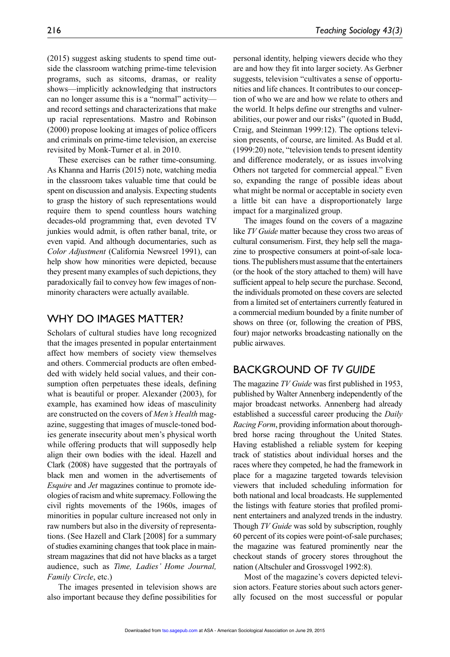(2015) suggest asking students to spend time outside the classroom watching prime-time television programs, such as sitcoms, dramas, or reality shows—implicitly acknowledging that instructors can no longer assume this is a "normal" activity and record settings and characterizations that make up racial representations. Mastro and Robinson (2000) propose looking at images of police officers and criminals on prime-time television, an exercise revisited by Monk-Turner et al. in 2010.

These exercises can be rather time-consuming. As Khanna and Harris (2015) note, watching media in the classroom takes valuable time that could be spent on discussion and analysis. Expecting students to grasp the history of such representations would require them to spend countless hours watching decades-old programming that, even devoted TV junkies would admit, is often rather banal, trite, or even vapid. And although documentaries, such as *Color Adjustment* (California Newsreel 1991), can help show how minorities were depicted, because they present many examples of such depictions, they paradoxically fail to convey how few images of nonminority characters were actually available.

### WHY DO IMAGES MATTER?

Scholars of cultural studies have long recognized that the images presented in popular entertainment affect how members of society view themselves and others. Commercial products are often embedded with widely held social values, and their consumption often perpetuates these ideals, defining what is beautiful or proper. Alexander (2003), for example, has examined how ideas of masculinity are constructed on the covers of *Men's Health* magazine, suggesting that images of muscle-toned bodies generate insecurity about men's physical worth while offering products that will supposedly help align their own bodies with the ideal. Hazell and Clark (2008) have suggested that the portrayals of black men and women in the advertisements of *Esquire* and *Jet* magazines continue to promote ideologies of racism and white supremacy. Following the civil rights movements of the 1960s, images of minorities in popular culture increased not only in raw numbers but also in the diversity of representations. (See Hazell and Clark [2008] for a summary of studies examining changes that took place in mainstream magazines that did not have blacks as a target audience, such as *Time, Ladies' Home Journal, Family Circle*, etc.)

The images presented in television shows are also important because they define possibilities for personal identity, helping viewers decide who they are and how they fit into larger society. As Gerbner suggests, television "cultivates a sense of opportunities and life chances. It contributes to our conception of who we are and how we relate to others and the world. It helps define our strengths and vulnerabilities, our power and our risks" (quoted in Budd, Craig, and Steinman 1999:12). The options television presents, of course, are limited. As Budd et al. (1999:20) note, "television tends to present identity and difference moderately, or as issues involving Others not targeted for commercial appeal." Even so, expanding the range of possible ideas about what might be normal or acceptable in society even a little bit can have a disproportionately large impact for a marginalized group.

The images found on the covers of a magazine like *TV Guide* matter because they cross two areas of cultural consumerism. First, they help sell the magazine to prospective consumers at point-of-sale locations. The publishers must assume that the entertainers (or the hook of the story attached to them) will have sufficient appeal to help secure the purchase. Second, the individuals promoted on these covers are selected from a limited set of entertainers currently featured in a commercial medium bounded by a finite number of shows on three (or, following the creation of PBS, four) major networks broadcasting nationally on the public airwaves.

## BACKGROUND OF *TV GUIDE*

The magazine *TV Guide* was first published in 1953, published by Walter Annenberg independently of the major broadcast networks. Annenberg had already established a successful career producing the *Daily Racing Form*, providing information about thoroughbred horse racing throughout the United States. Having established a reliable system for keeping track of statistics about individual horses and the races where they competed, he had the framework in place for a magazine targeted towards television viewers that included scheduling information for both national and local broadcasts. He supplemented the listings with feature stories that profiled prominent entertainers and analyzed trends in the industry. Though *TV Guide* was sold by subscription, roughly 60 percent of its copies were point-of-sale purchases; the magazine was featured prominently near the checkout stands of grocery stores throughout the nation (Altschuler and Grossvogel 1992:8).

Most of the magazine's covers depicted television actors. Feature stories about such actors generally focused on the most successful or popular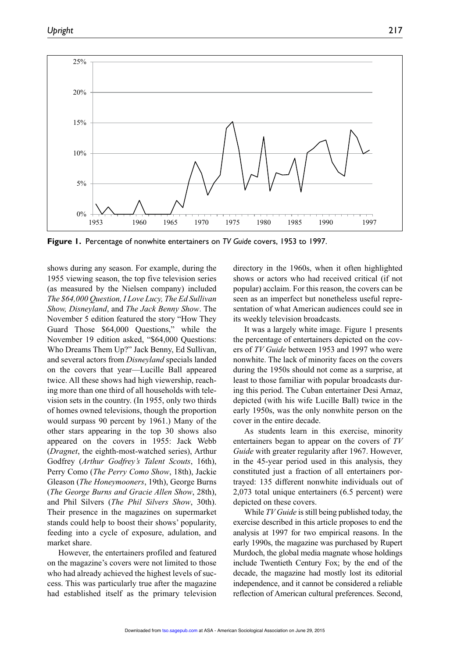

**Figure 1.** Percentage of nonwhite entertainers on *TV Guide* covers, 1953 to 1997.

shows during any season. For example, during the 1955 viewing season, the top five television series (as measured by the Nielsen company) included *The \$64,000 Question, I Love Lucy, The Ed Sullivan Show, Disneyland*, and *The Jack Benny Show*. The November 5 edition featured the story "How They Guard Those \$64,000 Questions," while the November 19 edition asked, "\$64,000 Questions: Who Dreams Them Up?" Jack Benny, Ed Sullivan, and several actors from *Disneyland* specials landed on the covers that year—Lucille Ball appeared twice. All these shows had high viewership, reaching more than one third of all households with television sets in the country. (In 1955, only two thirds of homes owned televisions, though the proportion would surpass 90 percent by 1961.) Many of the other stars appearing in the top 30 shows also appeared on the covers in 1955: Jack Webb (*Dragnet*, the eighth-most-watched series), Arthur Godfrey (*Arthur Godfrey's Talent Scouts*, 16th), Perry Como (*The Perry Como Show*, 18th), Jackie Gleason (*The Honeymooners*, 19th), George Burns (*The George Burns and Gracie Allen Show*, 28th), and Phil Silvers (*The Phil Silvers Show*, 30th). Their presence in the magazines on supermarket stands could help to boost their shows' popularity, feeding into a cycle of exposure, adulation, and market share.

However, the entertainers profiled and featured on the magazine's covers were not limited to those who had already achieved the highest levels of success. This was particularly true after the magazine had established itself as the primary television directory in the 1960s, when it often highlighted shows or actors who had received critical (if not popular) acclaim. For this reason, the covers can be seen as an imperfect but nonetheless useful representation of what American audiences could see in its weekly television broadcasts.

It was a largely white image. Figure 1 presents the percentage of entertainers depicted on the covers of *TV Guide* between 1953 and 1997 who were nonwhite. The lack of minority faces on the covers during the 1950s should not come as a surprise, at least to those familiar with popular broadcasts during this period. The Cuban entertainer Desi Arnaz, depicted (with his wife Lucille Ball) twice in the early 1950s, was the only nonwhite person on the cover in the entire decade.

As students learn in this exercise, minority entertainers began to appear on the covers of *TV Guide* with greater regularity after 1967. However, in the 45-year period used in this analysis, they constituted just a fraction of all entertainers portrayed: 135 different nonwhite individuals out of 2,073 total unique entertainers (6.5 percent) were depicted on these covers.

While *TV Guide* is still being published today, the exercise described in this article proposes to end the analysis at 1997 for two empirical reasons. In the early 1990s, the magazine was purchased by Rupert Murdoch, the global media magnate whose holdings include Twentieth Century Fox; by the end of the decade, the magazine had mostly lost its editorial independence, and it cannot be considered a reliable reflection of American cultural preferences. Second,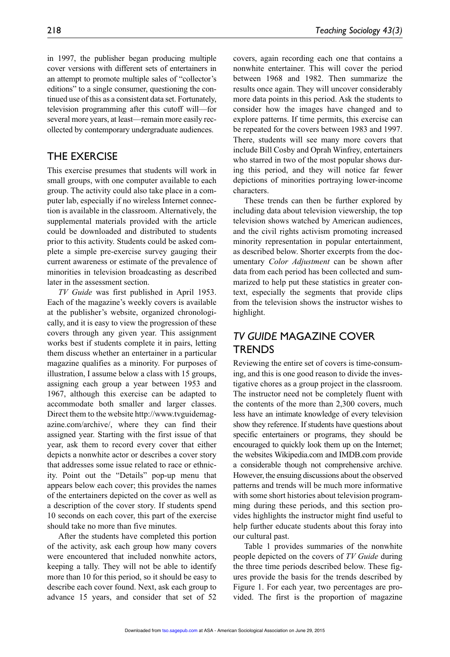in 1997, the publisher began producing multiple cover versions with different sets of entertainers in an attempt to promote multiple sales of "collector's editions" to a single consumer, questioning the continued use of this as a consistent data set. Fortunately, television programming after this cutoff will—for several more years, at least—remain more easily recollected by contemporary undergraduate audiences.

## THE EXERCISE

This exercise presumes that students will work in small groups, with one computer available to each group. The activity could also take place in a computer lab, especially if no wireless Internet connection is available in the classroom. Alternatively, the supplemental materials provided with the article could be downloaded and distributed to students prior to this activity. Students could be asked complete a simple pre-exercise survey gauging their current awareness or estimate of the prevalence of minorities in television broadcasting as described later in the assessment section.

*TV Guide* was first published in April 1953. Each of the magazine's weekly covers is available at the publisher's website, organized chronologically, and it is easy to view the progression of these covers through any given year. This assignment works best if students complete it in pairs, letting them discuss whether an entertainer in a particular magazine qualifies as a minority. For purposes of illustration, I assume below a class with 15 groups, assigning each group a year between 1953 and 1967, although this exercise can be adapted to accommodate both smaller and larger classes. Direct them to the website http://www.tvguidemagazine.com/archive/, where they can find their assigned year. Starting with the first issue of that year, ask them to record every cover that either depicts a nonwhite actor or describes a cover story that addresses some issue related to race or ethnicity. Point out the "Details" pop-up menu that appears below each cover; this provides the names of the entertainers depicted on the cover as well as a description of the cover story. If students spend 10 seconds on each cover, this part of the exercise should take no more than five minutes.

After the students have completed this portion of the activity, ask each group how many covers were encountered that included nonwhite actors, keeping a tally. They will not be able to identify more than 10 for this period, so it should be easy to describe each cover found. Next, ask each group to advance 15 years, and consider that set of 52 covers, again recording each one that contains a nonwhite entertainer. This will cover the period between 1968 and 1982. Then summarize the results once again. They will uncover considerably more data points in this period. Ask the students to consider how the images have changed and to explore patterns. If time permits, this exercise can be repeated for the covers between 1983 and 1997. There, students will see many more covers that include Bill Cosby and Oprah Winfrey, entertainers who starred in two of the most popular shows during this period, and they will notice far fewer depictions of minorities portraying lower-income characters.

These trends can then be further explored by including data about television viewership, the top television shows watched by American audiences, and the civil rights activism promoting increased minority representation in popular entertainment, as described below. Shorter excerpts from the documentary *Color Adjustment* can be shown after data from each period has been collected and summarized to help put these statistics in greater context, especially the segments that provide clips from the television shows the instructor wishes to highlight.

## *TV GUIDE* MAGAZINE COVER TRENDS

Reviewing the entire set of covers is time-consuming, and this is one good reason to divide the investigative chores as a group project in the classroom. The instructor need not be completely fluent with the contents of the more than 2,300 covers, much less have an intimate knowledge of every television show they reference. If students have questions about specific entertainers or programs, they should be encouraged to quickly look them up on the Internet; the websites Wikipedia.com and IMDB.com provide a considerable though not comprehensive archive. However, the ensuing discussions about the observed patterns and trends will be much more informative with some short histories about television programming during these periods, and this section provides highlights the instructor might find useful to help further educate students about this foray into our cultural past.

Table 1 provides summaries of the nonwhite people depicted on the covers of *TV Guide* during the three time periods described below. These figures provide the basis for the trends described by Figure 1. For each year, two percentages are provided. The first is the proportion of magazine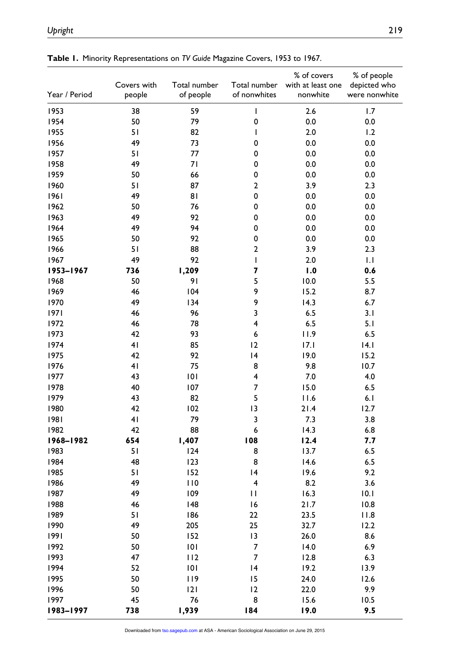| Year / Period | Covers with<br>people | Total number<br>of people | Total number<br>of nonwhites                                                                                                                                                                                                                                                                                                                                                     | % of covers<br>with at least one<br>nonwhite | % of people<br>depicted who<br>were nonwhite |
|---------------|-----------------------|---------------------------|----------------------------------------------------------------------------------------------------------------------------------------------------------------------------------------------------------------------------------------------------------------------------------------------------------------------------------------------------------------------------------|----------------------------------------------|----------------------------------------------|
| 1953          | 38                    | 59                        | $\mathsf{I}$                                                                                                                                                                                                                                                                                                                                                                     | 2.6                                          | 1.7                                          |
| 1954          | 50                    | 79                        | 0                                                                                                                                                                                                                                                                                                                                                                                | 0.0                                          | 0.0                                          |
| 1955          | 51                    | 82                        | I                                                                                                                                                                                                                                                                                                                                                                                | 2.0                                          | 1.2                                          |
| 1956          | 49                    | 73                        | 0                                                                                                                                                                                                                                                                                                                                                                                | 0.0                                          | 0.0                                          |
| 1957          | 51                    | 77                        | 0                                                                                                                                                                                                                                                                                                                                                                                | 0.0                                          | 0.0                                          |
| 1958          | 49                    | 71                        | 0                                                                                                                                                                                                                                                                                                                                                                                | 0.0                                          | 0.0                                          |
| 1959          | 50                    | 66                        | 0                                                                                                                                                                                                                                                                                                                                                                                | 0.0                                          | 0.0                                          |
| 1960          | 51                    | 87                        | $\mathbf 2$                                                                                                                                                                                                                                                                                                                                                                      | 3.9                                          | 2.3                                          |
| 1961          | 49                    | 81                        | 0                                                                                                                                                                                                                                                                                                                                                                                | 0.0                                          | 0.0                                          |
| 1962          | 50                    | 76                        | 0                                                                                                                                                                                                                                                                                                                                                                                | 0.0                                          | 0.0                                          |
| 1963          | 49                    | 92                        | 0                                                                                                                                                                                                                                                                                                                                                                                | 0.0                                          | 0.0                                          |
| 1964          | 49                    | 94                        | 0                                                                                                                                                                                                                                                                                                                                                                                | 0.0                                          | 0.0                                          |
| 1965          | 50                    | 92                        | 0                                                                                                                                                                                                                                                                                                                                                                                | 0.0                                          | 0.0                                          |
| 1966          | 51                    | 88                        | $\overline{\mathbf{c}}$                                                                                                                                                                                                                                                                                                                                                          | 3.9                                          | 2.3                                          |
| 1967          | 49                    | 92                        | $\begin{array}{c} \rule{0pt}{2.5ex} \rule{0pt}{2.5ex} \rule{0pt}{2.5ex} \rule{0pt}{2.5ex} \rule{0pt}{2.5ex} \rule{0pt}{2.5ex} \rule{0pt}{2.5ex} \rule{0pt}{2.5ex} \rule{0pt}{2.5ex} \rule{0pt}{2.5ex} \rule{0pt}{2.5ex} \rule{0pt}{2.5ex} \rule{0pt}{2.5ex} \rule{0pt}{2.5ex} \rule{0pt}{2.5ex} \rule{0pt}{2.5ex} \rule{0pt}{2.5ex} \rule{0pt}{2.5ex} \rule{0pt}{2.5ex} \rule{0$ | 2.0                                          | 1.1                                          |
| 1953-1967     | 736                   | 1,209                     | 7                                                                                                                                                                                                                                                                                                                                                                                | 1.0                                          | 0.6                                          |
| 1968          | 50                    | 91                        | 5                                                                                                                                                                                                                                                                                                                                                                                | 10.0                                         | 5.5                                          |
| 1969          | 46                    | 104                       | 9                                                                                                                                                                                                                                                                                                                                                                                | 15.2                                         | 8.7                                          |
| 1970          | 49                    | 134                       | 9                                                                                                                                                                                                                                                                                                                                                                                | 14.3                                         | 6.7                                          |
| 1971          | 46                    | 96                        | 3                                                                                                                                                                                                                                                                                                                                                                                | 6.5                                          | 3.1                                          |
| 1972          | 46                    | 78                        | 4                                                                                                                                                                                                                                                                                                                                                                                | 6.5                                          | 5.1                                          |
| 1973          | 42                    | 93                        | 6                                                                                                                                                                                                                                                                                                                                                                                | 11.9                                         | 6.5                                          |
| 1974          | 41                    | 85                        | 12                                                                                                                                                                                                                                                                                                                                                                               | 17.1                                         | 4.1                                          |
| 1975          | 42                    | 92                        | 4                                                                                                                                                                                                                                                                                                                                                                                | 19.0                                         | 15.2                                         |
| 1976          | 41                    | 75                        | 8                                                                                                                                                                                                                                                                                                                                                                                | 9.8                                          | 10.7                                         |
| 1977          | 43                    | 101                       | 4                                                                                                                                                                                                                                                                                                                                                                                | 7.0                                          | 4.0                                          |
| 1978          | 40                    | 107                       | 7                                                                                                                                                                                                                                                                                                                                                                                | 15.0                                         | 6.5                                          |
| 1979          | 43                    | 82                        | 5                                                                                                                                                                                                                                                                                                                                                                                | 11.6                                         | 6.1                                          |
| 1980          | 42                    | 102                       | 3                                                                                                                                                                                                                                                                                                                                                                                | 21.4                                         | 12.7                                         |
| 1981          | 41                    | 79                        | 3                                                                                                                                                                                                                                                                                                                                                                                | 7.3                                          | 3.8                                          |
| 1982          | 42                    | 88                        | 6                                                                                                                                                                                                                                                                                                                                                                                | 14.3                                         | 6.8                                          |
| 1968-1982     | 654                   | 1,407                     | 108                                                                                                                                                                                                                                                                                                                                                                              | 12.4                                         | 7.7                                          |
| 1983          | 51                    | 124                       | 8                                                                                                                                                                                                                                                                                                                                                                                | 13.7                                         | 6.5                                          |
| 1984          | 48                    | 123                       | 8                                                                                                                                                                                                                                                                                                                                                                                | 14.6                                         | 6.5                                          |
| 1985          | 51                    | 152                       | 4                                                                                                                                                                                                                                                                                                                                                                                | 19.6                                         | 9.2                                          |
| 1986          | 49                    | 110                       | $\overline{\mathbf{4}}$                                                                                                                                                                                                                                                                                                                                                          | 8.2                                          | 3.6                                          |
| 1987          | 49                    | 109                       | $\mathbf{H}$                                                                                                                                                                                                                                                                                                                                                                     | 16.3                                         | 10.1                                         |
| 1988          | 46                    | 148                       | 16                                                                                                                                                                                                                                                                                                                                                                               | 21.7                                         | 10.8                                         |
| 1989          | 51                    | 186                       | 22                                                                                                                                                                                                                                                                                                                                                                               | 23.5                                         | 11.8                                         |
| 1990          | 49                    | 205                       | 25                                                                                                                                                                                                                                                                                                                                                                               | 32.7                                         | 12.2                                         |
| 1991          | 50                    | 152                       | 13                                                                                                                                                                                                                                                                                                                                                                               | 26.0                                         | 8.6                                          |
| 1992          | 50                    | 101                       | $\overline{7}$                                                                                                                                                                                                                                                                                                                                                                   | 14.0                                         | 6.9                                          |
| 1993          | 47                    | 112                       | $\overline{\mathbf{7}}$                                                                                                                                                                                                                                                                                                                                                          | 12.8                                         | 6.3                                          |
| 1994          | 52                    | 101                       | 4                                                                                                                                                                                                                                                                                                                                                                                | 19.2                                         | 13.9                                         |
| 1995          | 50                    | 119                       | 15                                                                                                                                                                                                                                                                                                                                                                               | 24.0                                         | 12.6                                         |
| 1996          | 50                    | 2                         | 12                                                                                                                                                                                                                                                                                                                                                                               | 22.0                                         | 9.9                                          |
| 1997          | 45                    | 76                        | 8                                                                                                                                                                                                                                                                                                                                                                                | 15.6                                         | 10.5                                         |
| 1983-1997     | 738                   | 1,939                     | 184                                                                                                                                                                                                                                                                                                                                                                              | 19.0                                         | 9.5                                          |

**Table 1.** Minority Representations on *TV Guide* Magazine Covers, 1953 to 1967.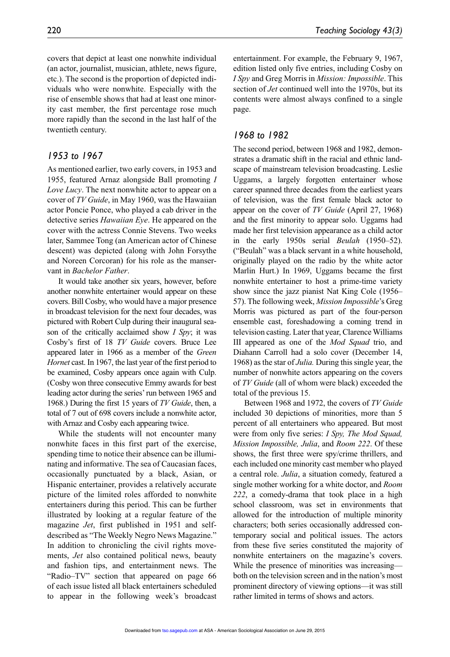covers that depict at least one nonwhite individual (an actor, journalist, musician, athlete, news figure, etc.). The second is the proportion of depicted individuals who were nonwhite. Especially with the rise of ensemble shows that had at least one minority cast member, the first percentage rose much more rapidly than the second in the last half of the

#### *1953 to 1967*

twentieth century.

As mentioned earlier, two early covers, in 1953 and 1955, featured Arnaz alongside Ball promoting *I Love Lucy*. The next nonwhite actor to appear on a cover of *TV Guide*, in May 1960, was the Hawaiian actor Poncie Ponce, who played a cab driver in the detective series *Hawaiian Eye*. He appeared on the cover with the actress Connie Stevens. Two weeks later, Sammee Tong (an American actor of Chinese descent) was depicted (along with John Forsythe and Noreen Corcoran) for his role as the manservant in *Bachelor Father*.

It would take another six years, however, before another nonwhite entertainer would appear on these covers. Bill Cosby, who would have a major presence in broadcast television for the next four decades, was pictured with Robert Culp during their inaugural season of the critically acclaimed show *I Spy*; it was Cosby's first of 18 *TV Guide* covers. Bruce Lee appeared later in 1966 as a member of the *Green Hornet* cast. In 1967, the last year of the first period to be examined, Cosby appears once again with Culp. (Cosby won three consecutive Emmy awards for best leading actor during the series' run between 1965 and 1968.) During the first 15 years of *TV Guide*, then, a total of 7 out of 698 covers include a nonwhite actor, with Arnaz and Cosby each appearing twice.

While the students will not encounter many nonwhite faces in this first part of the exercise, spending time to notice their absence can be illuminating and informative. The sea of Caucasian faces, occasionally punctuated by a black, Asian, or Hispanic entertainer, provides a relatively accurate picture of the limited roles afforded to nonwhite entertainers during this period. This can be further illustrated by looking at a regular feature of the magazine *Jet*, first published in 1951 and selfdescribed as "The Weekly Negro News Magazine." In addition to chronicling the civil rights movements, *Jet* also contained political news, beauty and fashion tips, and entertainment news. The "Radio–TV" section that appeared on page 66 of each issue listed all black entertainers scheduled to appear in the following week's broadcast entertainment. For example, the February 9, 1967, edition listed only five entries, including Cosby on *I Spy* and Greg Morris in *Mission: Impossible*. This section of *Jet* continued well into the 1970s, but its contents were almost always confined to a single page.

#### *1968 to 1982*

The second period, between 1968 and 1982, demonstrates a dramatic shift in the racial and ethnic landscape of mainstream television broadcasting. Leslie Uggams, a largely forgotten entertainer whose career spanned three decades from the earliest years of television, was the first female black actor to appear on the cover of *TV Guide* (April 27, 1968) and the first minority to appear solo. Uggams had made her first television appearance as a child actor in the early 1950s serial *Beulah* (1950–52). ("Beulah" was a black servant in a white household, originally played on the radio by the white actor Marlin Hurt.) In 1969, Uggams became the first nonwhite entertainer to host a prime-time variety show since the jazz pianist Nat King Cole (1956– 57). The following week, *Mission Impossible*'s Greg Morris was pictured as part of the four-person ensemble cast, foreshadowing a coming trend in television casting. Later that year, Clarence Williams III appeared as one of the *Mod Squad* trio, and Diahann Carroll had a solo cover (December 14, 1968) as the star of *Julia.* During this single year, the number of nonwhite actors appearing on the covers of *TV Guide* (all of whom were black) exceeded the total of the previous 15.

Between 1968 and 1972, the covers of *TV Guide* included 30 depictions of minorities, more than 5 percent of all entertainers who appeared. But most were from only five series: *I Spy, The Mod Squad, Mission Impossible, Julia*, and *Room 222*. Of these shows, the first three were spy/crime thrillers, and each included one minority cast member who played a central role. *Julia*, a situation comedy, featured a single mother working for a white doctor, and *Room 222*, a comedy-drama that took place in a high school classroom, was set in environments that allowed for the introduction of multiple minority characters; both series occasionally addressed contemporary social and political issues. The actors from these five series constituted the majority of nonwhite entertainers on the magazine's covers. While the presence of minorities was increasing both on the television screen and in the nation's most prominent directory of viewing options—it was still rather limited in terms of shows and actors.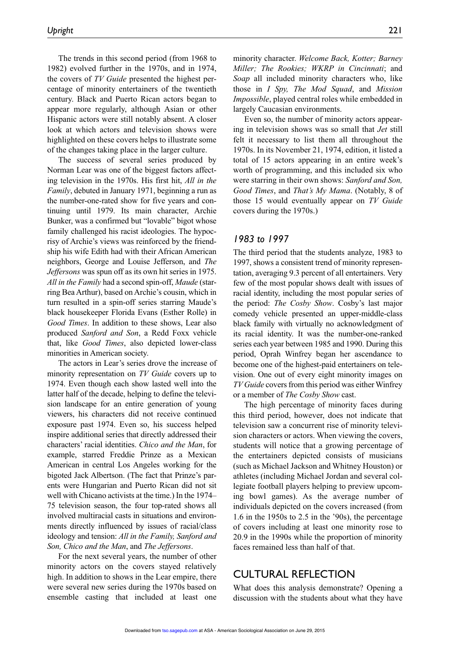The trends in this second period (from 1968 to 1982) evolved further in the 1970s, and in 1974, the covers of *TV Guide* presented the highest percentage of minority entertainers of the twentieth century. Black and Puerto Rican actors began to appear more regularly, although Asian or other Hispanic actors were still notably absent. A closer look at which actors and television shows were highlighted on these covers helps to illustrate some of the changes taking place in the larger culture.

The success of several series produced by Norman Lear was one of the biggest factors affecting television in the 1970s. His first hit, *All in the Family*, debuted in January 1971, beginning a run as the number-one-rated show for five years and continuing until 1979. Its main character, Archie Bunker, was a confirmed but "lovable" bigot whose family challenged his racist ideologies. The hypocrisy of Archie's views was reinforced by the friendship his wife Edith had with their African American neighbors, George and Louise Jefferson, and *The Jeffersons* was spun off as its own hit series in 1975. *All in the Family* had a second spin-off, *Maude* (starring Bea Arthur), based on Archie's cousin, which in turn resulted in a spin-off series starring Maude's black housekeeper Florida Evans (Esther Rolle) in *Good Times*. In addition to these shows, Lear also produced *Sanford and Son*, a Redd Foxx vehicle that, like *Good Times*, also depicted lower-class minorities in American society.

The actors in Lear's series drove the increase of minority representation on *TV Guide* covers up to 1974. Even though each show lasted well into the latter half of the decade, helping to define the television landscape for an entire generation of young viewers, his characters did not receive continued exposure past 1974. Even so, his success helped inspire additional series that directly addressed their characters' racial identities. *Chico and the Man*, for example, starred Freddie Prinze as a Mexican American in central Los Angeles working for the bigoted Jack Albertson. (The fact that Prinze's parents were Hungarian and Puerto Rican did not sit well with Chicano activists at the time.) In the 1974– 75 television season, the four top-rated shows all involved multiracial casts in situations and environments directly influenced by issues of racial/class ideology and tension: *All in the Family, Sanford and Son, Chico and the Man*, and *The Jeffersons*.

For the next several years, the number of other minority actors on the covers stayed relatively high. In addition to shows in the Lear empire, there were several new series during the 1970s based on ensemble casting that included at least one

minority character. *Welcome Back, Kotter; Barney Miller; The Rookies; WKRP in Cincinnati*; and *Soap* all included minority characters who, like those in *I Spy, The Mod Squad*, and *Mission Impossible*, played central roles while embedded in largely Caucasian environments.

Even so, the number of minority actors appearing in television shows was so small that *Jet* still felt it necessary to list them all throughout the 1970s. In its November 21, 1974, edition, it listed a total of 15 actors appearing in an entire week's worth of programming, and this included six who were starring in their own shows: *Sanford and Son, Good Times*, and *That's My Mama*. (Notably, 8 of those 15 would eventually appear on *TV Guide* covers during the 1970s.)

#### *1983 to 1997*

The third period that the students analyze, 1983 to 1997, shows a consistent trend of minority representation, averaging 9.3 percent of all entertainers. Very few of the most popular shows dealt with issues of racial identity, including the most popular series of the period: *The Cosby Show*. Cosby's last major comedy vehicle presented an upper-middle-class black family with virtually no acknowledgment of its racial identity. It was the number-one-ranked series each year between 1985 and 1990. During this period, Oprah Winfrey began her ascendance to become one of the highest-paid entertainers on television. One out of every eight minority images on *TV Guide* covers from this period was either Winfrey or a member of *The Cosby Show* cast.

The high percentage of minority faces during this third period, however, does not indicate that television saw a concurrent rise of minority television characters or actors. When viewing the covers, students will notice that a growing percentage of the entertainers depicted consists of musicians (such as Michael Jackson and Whitney Houston) or athletes (including Michael Jordan and several collegiate football players helping to preview upcoming bowl games). As the average number of individuals depicted on the covers increased (from 1.6 in the 1950s to 2.5 in the '90s), the percentage of covers including at least one minority rose to 20.9 in the 1990s while the proportion of minority faces remained less than half of that.

## CULTURAL REFLECTION

What does this analysis demonstrate? Opening a discussion with the students about what they have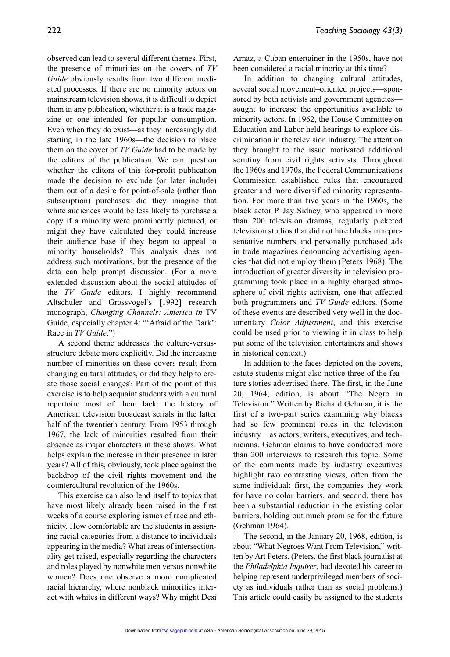observed can lead to several different themes. First, the presence of minorities on the covers of *TV Guide* obviously results from two different mediated processes. If there are no minority actors on mainstream television shows, it is difficult to depict them in any publication, whether it is a trade magazine or one intended for popular consumption. Even when they do exist—as they increasingly did starting in the late 1960s—the decision to place them on the cover of *TV Guide* had to be made by the editors of the publication. We can question whether the editors of this for-profit publication made the decision to exclude (or later include) them out of a desire for point-of-sale (rather than subscription) purchases: did they imagine that white audiences would be less likely to purchase a copy if a minority were prominently pictured, or might they have calculated they could increase their audience base if they began to appeal to minority households? This analysis does not address such motivations, but the presence of the data can help prompt discussion. (For a more extended discussion about the social attitudes of the *TV Guide* editors, I highly recommend Altschuler and Grossvogel's [1992] research monograph, *Changing Channels: America in* TV Guide, especially chapter 4: "'Afraid of the Dark': Race in *TV Guide*.")

A second theme addresses the culture-versusstructure debate more explicitly. Did the increasing number of minorities on these covers result from changing cultural attitudes, or did they help to create those social changes? Part of the point of this exercise is to help acquaint students with a cultural repertoire most of them lack: the history of American television broadcast serials in the latter half of the twentieth century. From 1953 through 1967, the lack of minorities resulted from their absence as major characters in these shows. What helps explain the increase in their presence in later years? All of this, obviously, took place against the backdrop of the civil rights movement and the countercultural revolution of the 1960s.

This exercise can also lend itself to topics that have most likely already been raised in the first weeks of a course exploring issues of race and ethnicity. How comfortable are the students in assigning racial categories from a distance to individuals appearing in the media? What areas of intersectionality get raised, especially regarding the characters and roles played by nonwhite men versus nonwhite women? Does one observe a more complicated racial hierarchy, where nonblack minorities interact with whites in different ways? Why might Desi Arnaz, a Cuban entertainer in the 1950s, have not been considered a racial minority at this time?

In addition to changing cultural attitudes, several social movement–oriented projects—sponsored by both activists and government agencies sought to increase the opportunities available to minority actors. In 1962, the House Committee on Education and Labor held hearings to explore discrimination in the television industry. The attention they brought to the issue motivated additional scrutiny from civil rights activists. Throughout the 1960s and 1970s, the Federal Communications Commission established rules that encouraged greater and more diversified minority representation. For more than five years in the 1960s, the black actor P. Jay Sidney, who appeared in more than 200 television dramas, regularly picketed television studios that did not hire blacks in representative numbers and personally purchased ads in trade magazines denouncing advertising agencies that did not employ them (Peters 1968). The introduction of greater diversity in television programming took place in a highly charged atmosphere of civil rights activism, one that affected both programmers and *TV Guide* editors. (Some of these events are described very well in the documentary *Color Adjustment*, and this exercise could be used prior to viewing it in class to help put some of the television entertainers and shows in historical context.)

In addition to the faces depicted on the covers, astute students might also notice three of the feature stories advertised there. The first, in the June 20, 1964, edition, is about "The Negro in Television." Written by Richard Gehman, it is the first of a two-part series examining why blacks had so few prominent roles in the television industry—as actors, writers, executives, and technicians. Gehman claims to have conducted more than 200 interviews to research this topic. Some of the comments made by industry executives highlight two contrasting views, often from the same individual: first, the companies they work for have no color barriers, and second, there has been a substantial reduction in the existing color barriers, holding out much promise for the future (Gehman 1964).

The second, in the January 20, 1968, edition, is about "What Negroes Want From Television," written by Art Peters. (Peters, the first black journalist at the *Philadelphia Inquirer*, had devoted his career to helping represent underprivileged members of society as individuals rather than as social problems.) This article could easily be assigned to the students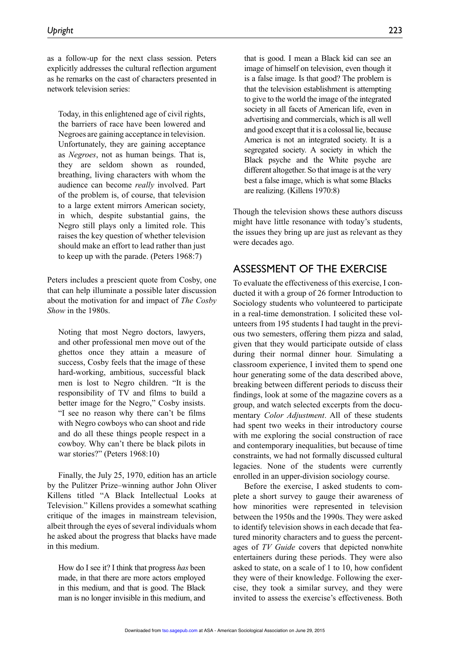as a follow-up for the next class session. Peters explicitly addresses the cultural reflection argument as he remarks on the cast of characters presented in network television series:

Today, in this enlightened age of civil rights, the barriers of race have been lowered and Negroes are gaining acceptance in television. Unfortunately, they are gaining acceptance as *Negroes*, not as human beings. That is, they are seldom shown as rounded, breathing, living characters with whom the audience can become *really* involved. Part of the problem is, of course, that television to a large extent mirrors American society, in which, despite substantial gains, the Negro still plays only a limited role. This raises the key question of whether television should make an effort to lead rather than just to keep up with the parade. (Peters 1968:7)

Peters includes a prescient quote from Cosby, one that can help illuminate a possible later discussion about the motivation for and impact of *The Cosby Show* in the 1980s.

Noting that most Negro doctors, lawyers, and other professional men move out of the ghettos once they attain a measure of success, Cosby feels that the image of these hard-working, ambitious, successful black men is lost to Negro children. "It is the responsibility of TV and films to build a better image for the Negro," Cosby insists. "I see no reason why there can't be films with Negro cowboys who can shoot and ride and do all these things people respect in a cowboy. Why can't there be black pilots in war stories?" (Peters 1968:10)

Finally, the July 25, 1970, edition has an article by the Pulitzer Prize–winning author John Oliver Killens titled "A Black Intellectual Looks at Television." Killens provides a somewhat scathing critique of the images in mainstream television, albeit through the eyes of several individuals whom he asked about the progress that blacks have made in this medium.

How do I see it? I think that progress *has* been made, in that there are more actors employed in this medium, and that is good. The Black man is no longer invisible in this medium, and that is good. I mean a Black kid can see an image of himself on television, even though it is a false image. Is that good? The problem is that the television establishment is attempting to give to the world the image of the integrated society in all facets of American life, even in advertising and commercials, which is all well and good except that it is a colossal lie, because America is not an integrated society. It is a segregated society. A society in which the Black psyche and the White psyche are different altogether. So that image is at the very best a false image, which is what some Blacks are realizing. (Killens 1970:8)

Though the television shows these authors discuss might have little resonance with today's students, the issues they bring up are just as relevant as they were decades ago.

## ASSESSMENT OF THE EXERCISE

To evaluate the effectiveness of this exercise, I conducted it with a group of 26 former Introduction to Sociology students who volunteered to participate in a real-time demonstration. I solicited these volunteers from 195 students I had taught in the previous two semesters, offering them pizza and salad, given that they would participate outside of class during their normal dinner hour. Simulating a classroom experience, I invited them to spend one hour generating some of the data described above, breaking between different periods to discuss their findings, look at some of the magazine covers as a group, and watch selected excerpts from the documentary *Color Adjustment*. All of these students had spent two weeks in their introductory course with me exploring the social construction of race and contemporary inequalities, but because of time constraints, we had not formally discussed cultural legacies. None of the students were currently enrolled in an upper-division sociology course.

Before the exercise, I asked students to complete a short survey to gauge their awareness of how minorities were represented in television between the 1950s and the 1990s. They were asked to identify television shows in each decade that featured minority characters and to guess the percentages of *TV Guide* covers that depicted nonwhite entertainers during these periods. They were also asked to state, on a scale of 1 to 10, how confident they were of their knowledge. Following the exercise, they took a similar survey, and they were invited to assess the exercise's effectiveness. Both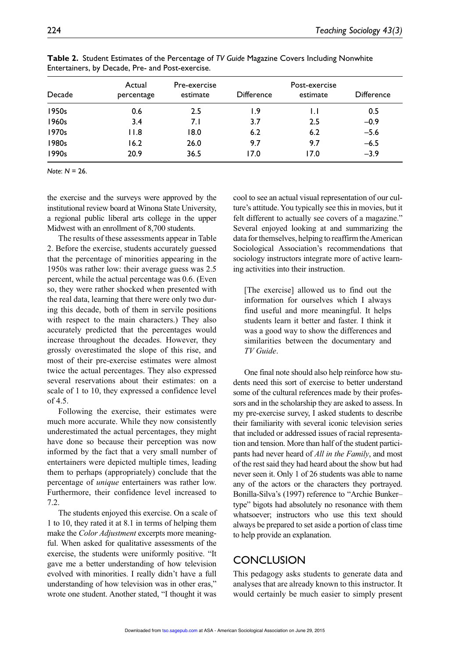| Decade | Actual<br>percentage | Pre-exercise<br>estimate | <b>Difference</b> | Post-exercise<br>estimate | <b>Difference</b> |
|--------|----------------------|--------------------------|-------------------|---------------------------|-------------------|
|        |                      |                          |                   |                           |                   |
| 1950s  | 0.6                  | 2.5                      | ۱.9               | IJ                        | 0.5               |
| 1960s  | 3.4                  | 7. I                     | 3.7               | 2.5                       | $-0.9$            |
| 1970s  | 11.8                 | 18.0                     | 6.2               | 6.2                       | $-5.6$            |
| 1980s  | 16.2                 | 26.0                     | 9.7               | 9.7                       | $-6.5$            |
| 1990s  | 20.9                 | 36.5                     | 17.0              | 17.0                      | $-3.9$            |

**Table 2.** Student Estimates of the Percentage of *TV Guide* Magazine Covers Including Nonwhite Entertainers, by Decade, Pre- and Post-exercise.

*Note*: *N* = 26.

the exercise and the surveys were approved by the institutional review board at Winona State University, a regional public liberal arts college in the upper Midwest with an enrollment of 8,700 students.

The results of these assessments appear in Table 2. Before the exercise, students accurately guessed that the percentage of minorities appearing in the 1950s was rather low: their average guess was 2.5 percent, while the actual percentage was 0.6. (Even so, they were rather shocked when presented with the real data, learning that there were only two during this decade, both of them in servile positions with respect to the main characters.) They also accurately predicted that the percentages would increase throughout the decades. However, they grossly overestimated the slope of this rise, and most of their pre-exercise estimates were almost twice the actual percentages. They also expressed several reservations about their estimates: on a scale of 1 to 10, they expressed a confidence level of 4.5.

Following the exercise, their estimates were much more accurate. While they now consistently underestimated the actual percentages, they might have done so because their perception was now informed by the fact that a very small number of entertainers were depicted multiple times, leading them to perhaps (appropriately) conclude that the percentage of *unique* entertainers was rather low. Furthermore, their confidence level increased to 7.2.

The students enjoyed this exercise. On a scale of 1 to 10, they rated it at 8.1 in terms of helping them make the *Color Adjustment* excerpts more meaningful. When asked for qualitative assessments of the exercise, the students were uniformly positive. "It gave me a better understanding of how television evolved with minorities. I really didn't have a full understanding of how television was in other eras," wrote one student. Another stated, "I thought it was

cool to see an actual visual representation of our culture's attitude. You typically see this in movies, but it felt different to actually see covers of a magazine." Several enjoyed looking at and summarizing the data for themselves, helping to reaffirm the American Sociological Association's recommendations that sociology instructors integrate more of active learning activities into their instruction.

[The exercise] allowed us to find out the information for ourselves which I always find useful and more meaningful. It helps students learn it better and faster. I think it was a good way to show the differences and similarities between the documentary and *TV Guide*.

One final note should also help reinforce how students need this sort of exercise to better understand some of the cultural references made by their professors and in the scholarship they are asked to assess. In my pre-exercise survey, I asked students to describe their familiarity with several iconic television series that included or addressed issues of racial representation and tension. More than half of the student participants had never heard of *All in the Family*, and most of the rest said they had heard about the show but had never seen it. Only 1 of 26 students was able to name any of the actors or the characters they portrayed. Bonilla-Silva's (1997) reference to "Archie Bunker– type" bigots had absolutely no resonance with them whatsoever; instructors who use this text should always be prepared to set aside a portion of class time to help provide an explanation.

## CONCLUSION

This pedagogy asks students to generate data and analyses that are already known to this instructor. It would certainly be much easier to simply present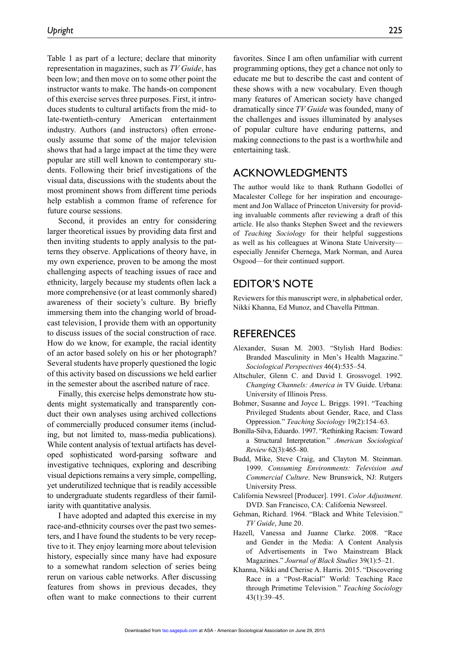Table 1 as part of a lecture; declare that minority representation in magazines, such as *TV Guide*, has been low; and then move on to some other point the instructor wants to make. The hands-on component of this exercise serves three purposes. First, it introduces students to cultural artifacts from the mid- to late-twentieth-century American entertainment industry. Authors (and instructors) often erroneously assume that some of the major television shows that had a large impact at the time they were popular are still well known to contemporary students. Following their brief investigations of the visual data, discussions with the students about the most prominent shows from different time periods help establish a common frame of reference for future course sessions.

Second, it provides an entry for considering larger theoretical issues by providing data first and then inviting students to apply analysis to the patterns they observe. Applications of theory have, in my own experience, proven to be among the most challenging aspects of teaching issues of race and ethnicity, largely because my students often lack a more comprehensive (or at least commonly shared) awareness of their society's culture. By briefly immersing them into the changing world of broadcast television, I provide them with an opportunity to discuss issues of the social construction of race. How do we know, for example, the racial identity of an actor based solely on his or her photograph? Several students have properly questioned the logic of this activity based on discussions we held earlier in the semester about the ascribed nature of race.

Finally, this exercise helps demonstrate how students might systematically and transparently conduct their own analyses using archived collections of commercially produced consumer items (including, but not limited to, mass-media publications). While content analysis of textual artifacts has developed sophisticated word-parsing software and investigative techniques, exploring and describing visual depictions remains a very simple, compelling, yet underutilized technique that is readily accessible to undergraduate students regardless of their familiarity with quantitative analysis.

I have adopted and adapted this exercise in my race-and-ethnicity courses over the past two semesters, and I have found the students to be very receptive to it. They enjoy learning more about television history, especially since many have had exposure to a somewhat random selection of series being rerun on various cable networks. After discussing features from shows in previous decades, they often want to make connections to their current

favorites. Since I am often unfamiliar with current programming options, they get a chance not only to educate me but to describe the cast and content of these shows with a new vocabulary. Even though many features of American society have changed dramatically since *TV Guide* was founded, many of the challenges and issues illuminated by analyses of popular culture have enduring patterns, and making connections to the past is a worthwhile and entertaining task.

## ACKNOWLEDGMENTS

The author would like to thank Ruthann Godollei of Macalester College for her inspiration and encouragement and Jon Wallace of Princeton University for providing invaluable comments after reviewing a draft of this article. He also thanks Stephen Sweet and the reviewers of *Teaching Sociology* for their helpful suggestions as well as his colleagues at Winona State University especially Jennifer Chernega, Mark Norman, and Aurea Osgood—for their continued support.

## EDITOR'S NOTE

Reviewers for this manuscript were, in alphabetical order, Nikki Khanna, Ed Munoz, and Chavella Pittman.

### **REFERENCES**

- Alexander, Susan M. 2003. "Stylish Hard Bodies: Branded Masculinity in Men's Health Magazine." *Sociological Perspectives* 46(4):535–54.
- Altschuler, Glenn C. and David I. Grossvogel. 1992. *Changing Channels: America in* TV Guide. Urbana: University of Illinois Press.
- Bohmer, Susanne and Joyce L. Briggs. 1991. "Teaching Privileged Students about Gender, Race, and Class Oppression." *Teaching Sociology* 19(2):154–63.
- Bonilla-Silva, Eduardo. 1997. "Rethinking Racism: Toward a Structural Interpretation." *American Sociological Review* 62(3):465–80.
- Budd, Mike, Steve Craig, and Clayton M. Steinman. 1999. *Consuming Environments: Television and Commercial Culture*. New Brunswick, NJ: Rutgers University Press.
- California Newsreel [Producer]. 1991. *Color Adjustment*. DVD. San Francisco, CA: California Newsreel.
- Gehman, Richard. 1964. "Black and White Television." *TV Guide*, June 20.
- Hazell, Vanessa and Juanne Clarke. 2008. "Race and Gender in the Media: A Content Analysis of Advertisements in Two Mainstream Black Magazines." *Journal of Black Studies* 39(1):5–21.
- Khanna, Nikki and Cherise A. Harris. 2015. "Discovering Race in a "Post-Racial" World: Teaching Race through Primetime Television." *Teaching Sociology* 43(1):39–45.